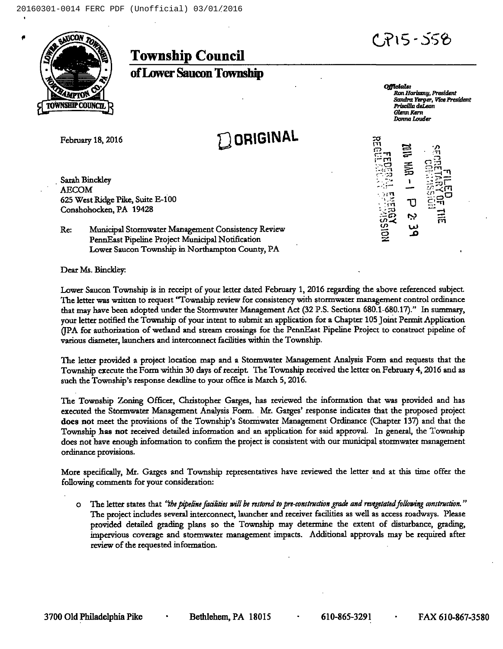## +715- 355



## Township Council

ofLower Saueon Township

February 18, 2016

Saxah Binckley AECOM 625 West Ridge Pike, Suite E-100 Conshohocken, PA 19428

**Q ORIGINAL** 

**Officials:**<br>Ron Horiszny, President Sandra Yerger, Vice President Priscilla deLeon Glenn xern Donna Louder

i  $\Xi^ \approx$   $\approx$   $\approx$  $-1$ ်းချီ  $\overline{\mathbf{r}}$ **سا** 

Re: Municipal Stormwater Management Consistency Review PennEast Pipeline Ptoject Municipal Notification Lower Saucon Township in Northsmpton County, PA

Dear Ms. Binckley:

Lower Saucon Township is in receipt of your letter dated February 1, 2016 regarding the above referenced subject. The letter was written to request "Township review for consistency with stormwater management control ordinance that may have been adopted under the Stonnwater Management Act (32 P.S. Sections 680.1-680.17'." In summary, your letter notified the Township of your intent to submit an application for a Chapter 105 Joint Permit Application (IPA for authorization of wetland and stream crossings for the PennEast Pipeline Project to construct pipeline of various diameter, launchers and intetconnect facilities within the Township.

The letter provided a project location map and a Stormwater Management Analysis Form and requests that the Township execute the Form within 30 days of receipt. The Township received the letter on February 4, 2016 and as such the Township's response deadline to your office is March 5, 2016.

The Township Zoning Of6cer, Christopher Gorges, has reviewed the information that was provided and has executed the Stormwater Management Analysis Form. Mr. Garges'esponse indicates that the proposed project does not meet the provisions of the Township's Stormwater Management Ordinance (Chapter 137) and that the Township has not received detailed information and an application for said approvaL In general, the Township does not have enough information to confirm the project is consistent with our municipal stormwater management ordinance provisions.

More specifically, Mr. Garges and Township representatives have reviewed the letter and at this time offer the following comments for your consideration:

 $\circ$  The letter states that "the pipeline facilities will be restored to pre-construction grade and revegetated following construction." The pmject indudes several interconnect, launcher and receivet facilities as well as access roadways. Please provided detailed grading plans so the Township may determine the extent of disturbance, grading, impenrious coverage snd stormwater management impacts. Additional approvals may be required after review of the requested information.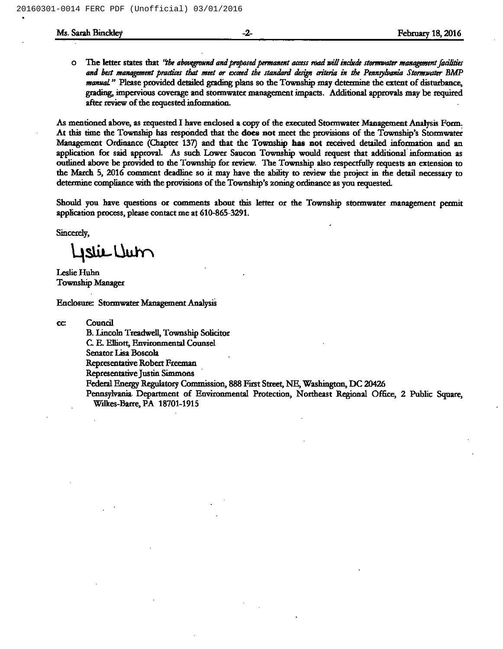o The letter states that "the aboveground and proposed permanent access road will include stormwater management facilities and best management practices that meet or exceed the standard design criteria in the Pennsylvania Stormwater BMP manual." Please provided detailed grading plans so the Township may determine the extent of disturbance, grading, impervious coverage and stormwater management impacts. Additional approvals may be required after review of the requested information.

As mentioned above, as requested I have enclosed a copy of the executed Stormwater Management Analysis Form. At this time the Township has responded that the does not meet the provisions of the Township's Stormwater Management Ordinance (Chapter 137) and that the Township has not received detailed information and an application for said approval. As such Lower Saucon Township would request that additional information as outlined above be provided to the Township for review. The Township also respectfully requests an extension to the March 5, 2016 comment deadline so it may have the ability to review the project in the detail necessary to determine compliance with the provisions of the Township's zoning ordinance as you requested.

Should you have questions or comments about this letter or the Township stormwater management permit application pmcess, please contact me at 610-865-3291.

Sincerely,

Lislie Uut

Leslie Huhn Township Manager

Enclosure: Stormwater Management Analysis

CC Council

B. Lincoln Treadwell, Township Solicitor

C. E. Elliott, Environmental Counsel

Senator Lisa Boscola

Representative Robert Freeman

Representative Justin Simmons

Federal Energy Regulatory Commission, 888 First Street, NE, Washington, DC 20426

Pennsylvania. Department of Environmental Protection, Northeast Regional Office, 2 Public Square, Wilkes-Barre, PA 18701-1915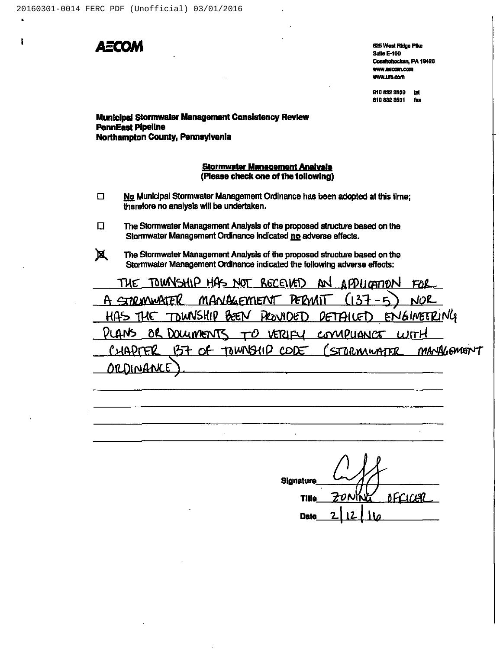

ł

625 West Ridge Pike **Sulle E-100** Conshohocken, PA 19428 www.aecom.com WWW.tirk.com

610 832 3500 tel 610 832 3501 fax

## Municipal Stormwater Management Consistency Review **PennEast Pipeline** Northampton County, Pennsylvania

## **Stormwater Management Analysis** (Please check one of the following)

- No Municipal Stormwater Management Ordinance has been adopted at this time;  $\Box$ therefore no analysis will be undertaken.
- $\Box$ The Stormwater Management Analysis of the proposed structure based on the Stormwater Management Ordinance Indicated no adverse effects.
- 风 The Stormwater Management Analysis of the proposed structure based on the Stormwater Management Ordinance indicated the following adverse effects:

 $\cdot$ 

TOWNSHIP HAS NOT RECEIVED THE  $2<sub>N</sub>$ <u>APPLICATION</u> FOR MANAGEMENT A CINO WWATER PERMI NOR TOWNSHIP BEEN HAS THE **PROVIDED**  $P$  $F$  $P$  $H$  $F$  $D$ ENGINETRING OR DOLUMENTS VLANS TO VERIFU COMPUANCE WITH 157 OF TOWNSHID CODE VLER MANAGEMENT STORMWATER <u>ORDINANCE</u>

Signature **OFCICER Title Date**